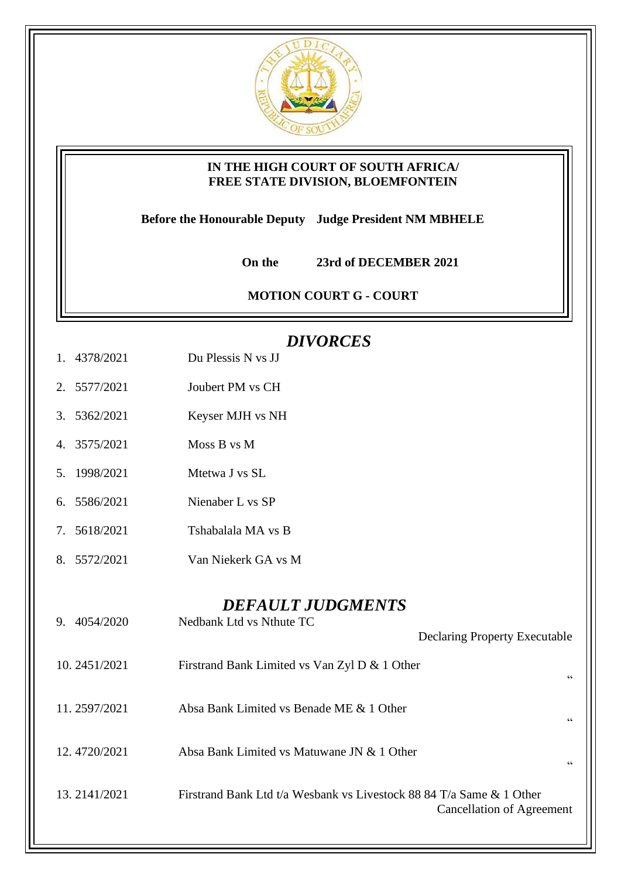

## **IN THE HIGH COURT OF SOUTH AFRICA/ FREE STATE DIVISION, BLOEMFONTEIN**

**Before the Honourable Deputy Judge President NM MBHELE** 

 **On the 23rd of DECEMBER 2021**

**MOTION COURT G - COURT** 

## *DIVORCES*

- 1. 4378/2021 Du Plessis N vs JJ
- 2. 5577/2021 Joubert PM vs CH
- 3. 5362/2021 Keyser MJH vs NH
- 4. 3575/2021 Moss B vs M
- 5. 1998/2021 Mtetwa J vs SL
- 6. 5586/2021 Nienaber L vs SP
- 7. 5618/2021 Tshabalala MA vs B
- 8. 5572/2021 Van Niekerk GA vs M

## *DEFAULT JUDGMENTS*

| 4054/2020<br>9. | Nedbank Ltd vs Nthute TC                                             | <b>Declaring Property Executable</b> |
|-----------------|----------------------------------------------------------------------|--------------------------------------|
| 10.2451/2021    | Firstrand Bank Limited vs Van Zyl D & 1 Other                        | 66                                   |
| 11.2597/2021    | Absa Bank Limited vs Benade ME & 1 Other                             | 66                                   |
| 12.4720/2021    | Absa Bank Limited vs Matuwane JN & 1 Other                           | 66                                   |
| 13.2141/2021    | Firstrand Bank Ltd t/a Wesbank vs Livestock 88 84 T/a Same & 1 Other | Cancellation of Agreement            |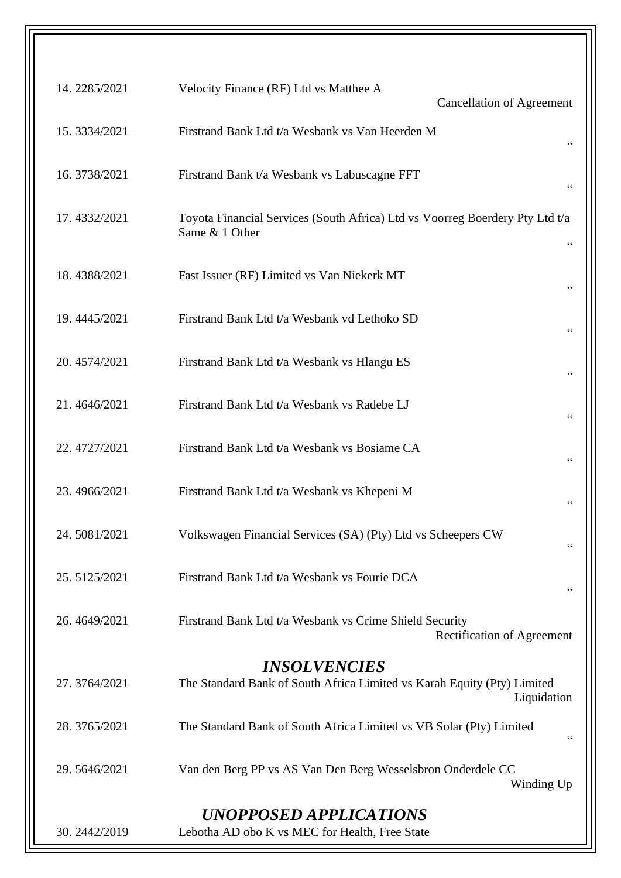| Velocity Finance (RF) Ltd vs Matthee A<br><b>Cancellation of Agreement</b>                                           | 14.2285/2021 |
|----------------------------------------------------------------------------------------------------------------------|--------------|
| Firstrand Bank Ltd t/a Wesbank vs Van Heerden M<br>$\zeta\,\zeta$                                                    | 15.3334/2021 |
| Firstrand Bank t/a Wesbank vs Labuscagne FFT<br>66                                                                   | 16.3738/2021 |
| Toyota Financial Services (South Africa) Ltd vs Voorreg Boerdery Pty Ltd t/a<br>Same & 1 Other<br>$\zeta \, \zeta$   | 17.4332/2021 |
| Fast Issuer (RF) Limited vs Van Niekerk MT<br>66                                                                     | 18.4388/2021 |
| Firstrand Bank Ltd t/a Wesbank vd Lethoko SD<br>66                                                                   | 19.4445/2021 |
| Firstrand Bank Ltd t/a Wesbank vs Hlangu ES<br>66                                                                    | 20.4574/2021 |
| Firstrand Bank Ltd t/a Wesbank vs Radebe LJ<br>$\zeta$ $\zeta$                                                       | 21.4646/2021 |
| Firstrand Bank Ltd t/a Wesbank vs Bosiame CA<br>66                                                                   | 22.4727/2021 |
| Firstrand Bank Ltd t/a Wesbank vs Khepeni M<br>$\zeta\,\zeta$                                                        | 23.4966/2021 |
| Volkswagen Financial Services (SA) (Pty) Ltd vs Scheepers CW<br>66                                                   | 24.5081/2021 |
| Firstrand Bank Ltd t/a Wesbank vs Fourie DCA<br>$\mbox{\bf G}$                                                       | 25.5125/2021 |
| Firstrand Bank Ltd t/a Wesbank vs Crime Shield Security<br>Rectification of Agreement                                | 26.4649/2021 |
|                                                                                                                      |              |
| <i><b>INSOLVENCIES</b></i><br>The Standard Bank of South Africa Limited vs Karah Equity (Pty) Limited<br>Liquidation | 27.3764/2021 |
| The Standard Bank of South Africa Limited vs VB Solar (Pty) Limited<br>$\,$ 6 $\,$                                   | 28.3765/2021 |
| Van den Berg PP vs AS Van Den Berg Wesselsbron Onderdele CC<br>Winding Up                                            | 29.5646/2021 |
| <b>UNOPPOSED APPLICATIONS</b>                                                                                        |              |
| Lebotha AD obo K vs MEC for Health, Free State                                                                       | 30.2442/2019 |